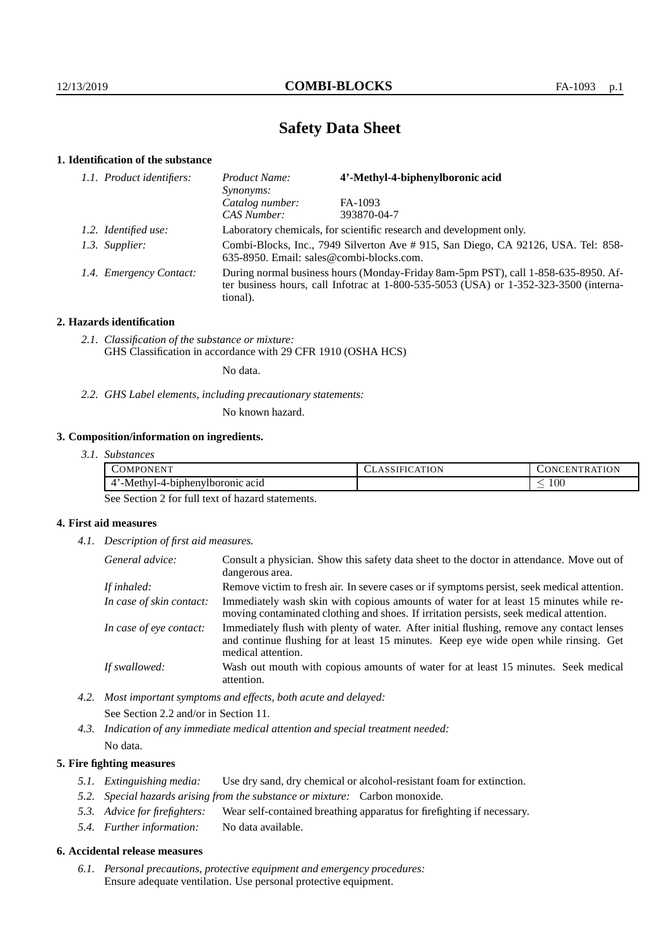# **Safety Data Sheet**

## **1. Identification of the substance**

| 1.1. Product identifiers: | Product Name:<br><i>Synonyms:</i>                                                                                             | 4'-Methyl-4-biphenylboronic acid                                                                                                                                            |
|---------------------------|-------------------------------------------------------------------------------------------------------------------------------|-----------------------------------------------------------------------------------------------------------------------------------------------------------------------------|
|                           | Catalog number:                                                                                                               | FA-1093                                                                                                                                                                     |
|                           | CAS Number:                                                                                                                   | 393870-04-7                                                                                                                                                                 |
| 1.2. Identified use:      |                                                                                                                               | Laboratory chemicals, for scientific research and development only.                                                                                                         |
| 1.3. Supplier:            | Combi-Blocks, Inc., 7949 Silverton Ave # 915, San Diego, CA 92126, USA. Tel: 858-<br>635-8950. Email: sales@combi-blocks.com. |                                                                                                                                                                             |
| 1.4. Emergency Contact:   | tional).                                                                                                                      | During normal business hours (Monday-Friday 8am-5pm PST), call 1-858-635-8950. Af-<br>ter business hours, call Infotrac at 1-800-535-5053 (USA) or 1-352-323-3500 (interna- |

### **2. Hazards identification**

*2.1. Classification of the substance or mixture:* GHS Classification in accordance with 29 CFR 1910 (OSHA HCS)

No data.

*2.2. GHS Label elements, including precautionary statements:*

No known hazard.

## **3. Composition/information on ingredients.**

*3.1. Substances*

| $-7777777$<br>OMPC<br><b>ONEN</b>               | CLASSIFICATION | ATION<br>UNCEN T<br>`R A |
|-------------------------------------------------|----------------|--------------------------|
| . -Methy'<br>-biphenylboronic acid<br>$-1111 -$ |                | 100<br>_                 |

See Section 2 for full text of hazard statements.

## **4. First aid measures**

*4.1. Description of first aid measures.*

| General advice:          | Consult a physician. Show this safety data sheet to the doctor in attendance. Move out of<br>dangerous area.                                                                                            |
|--------------------------|---------------------------------------------------------------------------------------------------------------------------------------------------------------------------------------------------------|
| If inhaled:              | Remove victim to fresh air. In severe cases or if symptoms persist, seek medical attention.                                                                                                             |
| In case of skin contact: | Immediately wash skin with copious amounts of water for at least 15 minutes while re-<br>moving contaminated clothing and shoes. If irritation persists, seek medical attention.                        |
| In case of eye contact:  | Immediately flush with plenty of water. After initial flushing, remove any contact lenses<br>and continue flushing for at least 15 minutes. Keep eye wide open while rinsing. Get<br>medical attention. |
| If swallowed:            | Wash out mouth with copious amounts of water for at least 15 minutes. Seek medical<br>attention.                                                                                                        |

*4.2. Most important symptoms and effects, both acute and delayed:* See Section 2.2 and/or in Section 11.

*4.3. Indication of any immediate medical attention and special treatment needed:* No data.

### **5. Fire fighting measures**

- *5.1. Extinguishing media:* Use dry sand, dry chemical or alcohol-resistant foam for extinction.
- *5.2. Special hazards arising from the substance or mixture:* Carbon monoxide.
- *5.3. Advice for firefighters:* Wear self-contained breathing apparatus for firefighting if necessary.
- *5.4. Further information:* No data available.

#### **6. Accidental release measures**

*6.1. Personal precautions, protective equipment and emergency procedures:* Ensure adequate ventilation. Use personal protective equipment.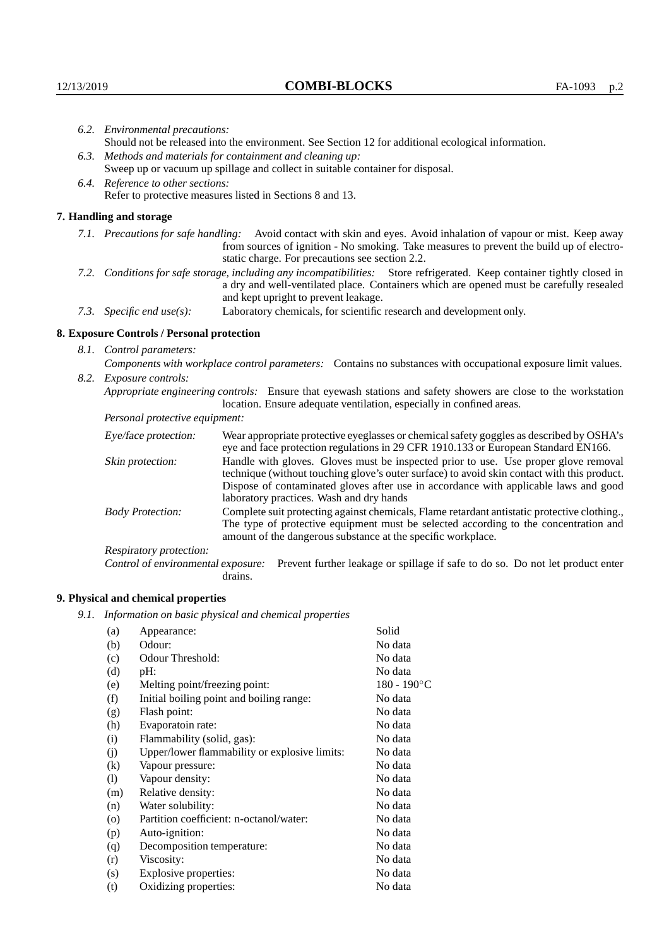| 6.2. Environmental precautions:                                                                                                                                                        |                                                                                                                                                                                                                                                                            |  |  |
|----------------------------------------------------------------------------------------------------------------------------------------------------------------------------------------|----------------------------------------------------------------------------------------------------------------------------------------------------------------------------------------------------------------------------------------------------------------------------|--|--|
| Should not be released into the environment. See Section 12 for additional ecological information.                                                                                     |                                                                                                                                                                                                                                                                            |  |  |
| 6.3. Methods and materials for containment and cleaning up:                                                                                                                            |                                                                                                                                                                                                                                                                            |  |  |
| Sweep up or vacuum up spillage and collect in suitable container for disposal.                                                                                                         |                                                                                                                                                                                                                                                                            |  |  |
|                                                                                                                                                                                        | 6.4. Reference to other sections:                                                                                                                                                                                                                                          |  |  |
|                                                                                                                                                                                        | Refer to protective measures listed in Sections 8 and 13.                                                                                                                                                                                                                  |  |  |
| 7. Handling and storage                                                                                                                                                                |                                                                                                                                                                                                                                                                            |  |  |
|                                                                                                                                                                                        | 7.1. Precautions for safe handling: Avoid contact with skin and eyes. Avoid inhalation of vapour or mist. Keep away<br>from sources of ignition - No smoking. Take measures to prevent the build up of electro-<br>static charge. For precautions see section 2.2.         |  |  |
|                                                                                                                                                                                        | 7.2. Conditions for safe storage, including any incompatibilities: Store refrigerated. Keep container tightly closed in<br>a dry and well-ventilated place. Containers which are opened must be carefully resealed<br>and kept upright to prevent leakage.                 |  |  |
| 7.3. Specific end use(s):                                                                                                                                                              | Laboratory chemicals, for scientific research and development only.                                                                                                                                                                                                        |  |  |
| 8. Exposure Controls / Personal protection                                                                                                                                             |                                                                                                                                                                                                                                                                            |  |  |
| 8.1. Control parameters:                                                                                                                                                               |                                                                                                                                                                                                                                                                            |  |  |
| Components with workplace control parameters: Contains no substances with occupational exposure limit values.                                                                          |                                                                                                                                                                                                                                                                            |  |  |
| 8.2. Exposure controls:                                                                                                                                                                |                                                                                                                                                                                                                                                                            |  |  |
| Appropriate engineering controls: Ensure that eyewash stations and safety showers are close to the workstation<br>location. Ensure adequate ventilation, especially in confined areas. |                                                                                                                                                                                                                                                                            |  |  |
| Personal protective equipment:                                                                                                                                                         |                                                                                                                                                                                                                                                                            |  |  |
| Eye/face protection:                                                                                                                                                                   | Wear appropriate protective eyeglasses or chemical safety goggles as described by OSHA's<br>eye and face protection regulations in 29 CFR 1910.133 or European Standard EN166.                                                                                             |  |  |
| Skin protection:                                                                                                                                                                       | Handle with gloves. Gloves must be inspected prior to use. Use proper glove removal<br>technique (without touching glove's outer surface) to avoid skin contact with this product.<br>Dispose of contaminated gloves after use in accordance with applicable laws and good |  |  |

laboratory practices. Wash and dry hands Body Protection: Complete suit protecting against chemicals, Flame retardant antistatic protective clothing., The type of protective equipment must be selected according to the concentration and amount of the dangerous substance at the specific workplace.

Respiratory protection:

Control of environmental exposure: Prevent further leakage or spillage if safe to do so. Do not let product enter drains.

# **9. Physical and chemical properties**

*9.1. Information on basic physical and chemical properties*

| (a)      | Appearance:                                   | Solid       |
|----------|-----------------------------------------------|-------------|
| (b)      | Odour:                                        | No data     |
| (c)      | Odour Threshold:                              | No data     |
| (d)      | pH:                                           | No data     |
| (e)      | Melting point/freezing point:                 | 180 - 190°C |
| (f)      | Initial boiling point and boiling range:      | No data     |
| (g)      | Flash point:                                  | No data     |
| (h)      | Evaporatoin rate:                             | No data     |
| (i)      | Flammability (solid, gas):                    | No data     |
| (j)      | Upper/lower flammability or explosive limits: | No data     |
| $\rm(k)$ | Vapour pressure:                              | No data     |
| (1)      | Vapour density:                               | No data     |
| (m)      | Relative density:                             | No data     |
| (n)      | Water solubility:                             | No data     |
| $\circ$  | Partition coefficient: n-octanol/water:       | No data     |
| (p)      | Auto-ignition:                                | No data     |
| (q)      | Decomposition temperature:                    | No data     |
| (r)      | Viscosity:                                    | No data     |
| (s)      | Explosive properties:                         | No data     |
| (t)      | Oxidizing properties:                         | No data     |
|          |                                               |             |